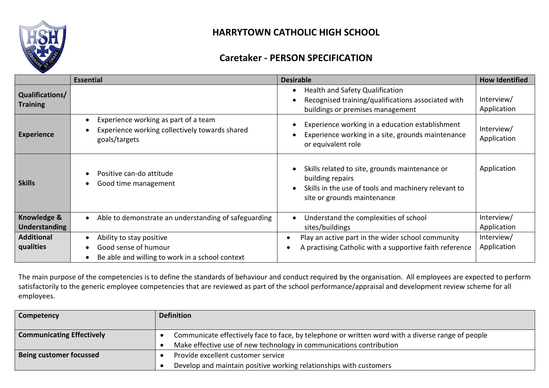

## **HARRYTOWN CATHOLIC HIGH SCHOOL**

## **Caretaker - PERSON SPECIFICATION**

|                                     | <b>Essential</b>                                                                                                              | <b>Desirable</b>                                                                                                                                          | <b>How Identified</b>     |
|-------------------------------------|-------------------------------------------------------------------------------------------------------------------------------|-----------------------------------------------------------------------------------------------------------------------------------------------------------|---------------------------|
| Qualifications/<br><b>Training</b>  |                                                                                                                               | Health and Safety Qualification<br>Recognised training/qualifications associated with<br>buildings or premises management                                 | Interview/<br>Application |
| <b>Experience</b>                   | Experience working as part of a team<br>$\bullet$<br>Experience working collectively towards shared<br>goals/targets          | Experience working in a education establishment<br>Experience working in a site, grounds maintenance<br>or equivalent role                                | Interview/<br>Application |
| <b>Skills</b>                       | Positive can-do attitude<br>Good time management                                                                              | Skills related to site, grounds maintenance or<br>building repairs<br>Skills in the use of tools and machinery relevant to<br>site or grounds maintenance | Application               |
| Knowledge &<br><b>Understanding</b> | Able to demonstrate an understanding of safeguarding<br>$\bullet$                                                             | Understand the complexities of school<br>sites/buildings                                                                                                  | Interview/<br>Application |
| <b>Additional</b><br>qualities      | Ability to stay positive<br>$\bullet$<br>Good sense of humour<br>Be able and willing to work in a school context<br>$\bullet$ | Play an active part in the wider school community<br>A practising Catholic with a supportive faith reference                                              | Interview/<br>Application |

The main purpose of the competencies is to define the standards of behaviour and conduct required by the organisation. All employees are expected to perform satisfactorily to the generic employee competencies that are reviewed as part of the school performance/appraisal and development review scheme for all employees.

| Competency                       | <b>Definition</b>                                                                                                                                                        |
|----------------------------------|--------------------------------------------------------------------------------------------------------------------------------------------------------------------------|
| <b>Communicating Effectively</b> | Communicate effectively face to face, by telephone or written word with a diverse range of people<br>Make effective use of new technology in communications contribution |
| <b>Being customer focussed</b>   | Provide excellent customer service<br>Develop and maintain positive working relationships with customers                                                                 |